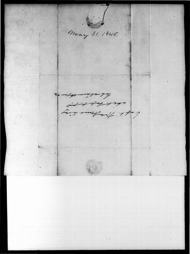May 31, 1845. le récursion at the time Contract 112